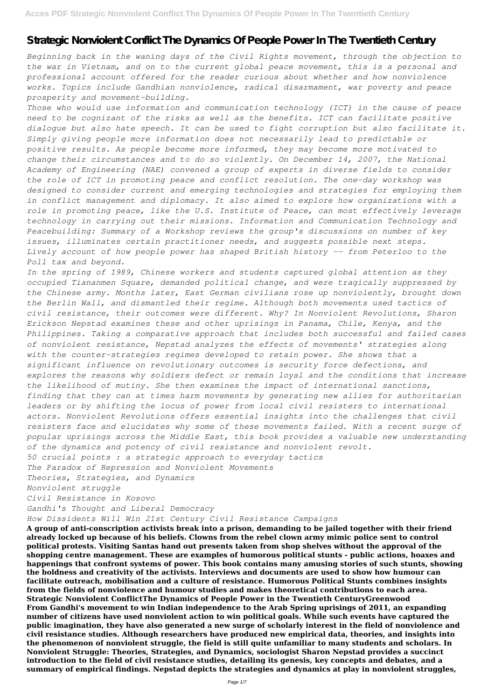# **Strategic Nonviolent Conflict The Dynamics Of People Power In The Twentieth Century**

*Beginning back in the waning days of the Civil Rights movement, through the objection to the war in Vietnam, and on to the current global peace movement, this is a personal and professional account offered for the reader curious about whether and how nonviolence works. Topics include Gandhian nonviolence, radical disarmament, war poverty and peace prosperity and movement-building.*

*Those who would use information and communication technology (ICT) in the cause of peace need to be cognizant of the risks as well as the benefits. ICT can facilitate positive dialogue but also hate speech. It can be used to fight corruption but also facilitate it. Simply giving people more information does not necessarily lead to predictable or positive results. As people become more informed, they may become more motivated to change their circumstances and to do so violently. On December 14, 2007, the National Academy of Engineering (NAE) convened a group of experts in diverse fields to consider the role of ICT in promoting peace and conflict resolution. The one-day workshop was designed to consider current and emerging technologies and strategies for employing them in conflict management and diplomacy. It also aimed to explore how organizations with a role in promoting peace, like the U.S. Institute of Peace, can most effectively leverage technology in carrying out their missions. Information and Communication Technology and Peacebuilding: Summary of a Workshop reviews the group's discussions on number of key issues, illuminates certain practitioner needs, and suggests possible next steps. Lively account of how people power has shaped British history -- from Peterloo to the Poll tax and beyond.*

*In the spring of 1989, Chinese workers and students captured global attention as they occupied Tiananmen Square, demanded political change, and were tragically suppressed by the Chinese army. Months later, East German civilians rose up nonviolently, brought down the Berlin Wall, and dismantled their regime. Although both movements used tactics of civil resistance, their outcomes were different. Why? In Nonviolent Revolutions, Sharon Erickson Nepstad examines these and other uprisings in Panama, Chile, Kenya, and the Philippines. Taking a comparative approach that includes both successful and failed cases of nonviolent resistance, Nepstad analyzes the effects of movements' strategies along with the counter-strategies regimes developed to retain power. She shows that a significant influence on revolutionary outcomes is security force defections, and explores the reasons why soldiers defect or remain loyal and the conditions that increase the likelihood of mutiny. She then examines the impact of international sanctions, finding that they can at times harm movements by generating new allies for authoritarian leaders or by shifting the locus of power from local civil resisters to international actors. Nonviolent Revolutions offers essential insights into the challenges that civil resisters face and elucidates why some of these movements failed. With a recent surge of popular uprisings across the Middle East, this book provides a valuable new understanding of the dynamics and potency of civil resistance and nonviolent revolt. 50 crucial points : a strategic approach to everyday tactics The Paradox of Repression and Nonviolent Movements Theories, Strategies, and Dynamics Nonviolent struggle Civil Resistance in Kosovo Gandhi's Thought and Liberal Democracy How Dissidents Will Win 21st Century Civil Resistance Campaigns* **A group of anti-conscription activists break into a prison, demanding to be jailed together with their friend already locked up because of his beliefs. Clowns from the rebel clown army mimic police sent to control political protests. Visiting Santas hand out presents taken from shop shelves without the approval of the shopping centre management. These are examples of humorous political stunts - public actions, hoaxes and happenings that confront systems of power. This book contains many amusing stories of such stunts, showing the boldness and creativity of the activists. Interviews and documents are used to show how humour can facilitate outreach, mobilisation and a culture of resistance. Humorous Political Stunts combines insights from the fields of nonviolence and humour studies and makes theoretical contributions to each area. Strategic Nonviolent ConflictThe Dynamics of People Power in the Twentieth CenturyGreenwood From Gandhi's movement to win Indian independence to the Arab Spring uprisings of 2011, an expanding number of citizens have used nonviolent action to win political goals. While such events have captured the public imagination, they have also generated a new surge of scholarly interest in the field of nonviolence and civil resistance studies. Although researchers have produced new empirical data, theories, and insights into the phenomenon of nonviolent struggle, the field is still quite unfamiliar to many students and scholars. In Nonviolent Struggle: Theories, Strategies, and Dynamics, sociologist Sharon Nepstad provides a succinct introduction to the field of civil resistance studies, detailing its genesis, key concepts and debates, and a summary of empirical findings. Nepstad depicts the strategies and dynamics at play in nonviolent struggles,**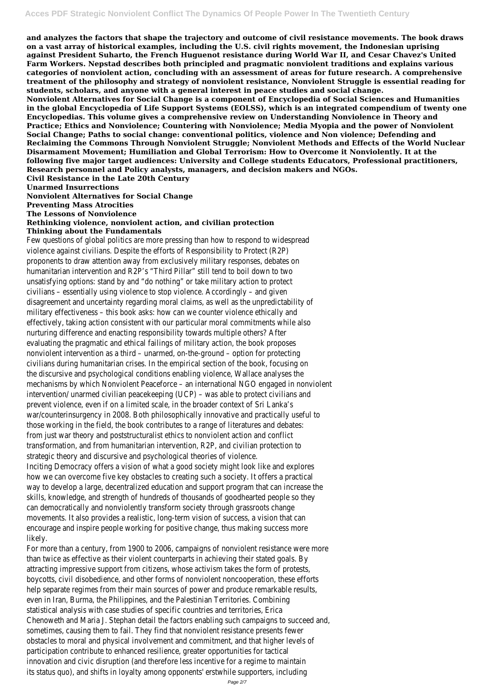**and analyzes the factors that shape the trajectory and outcome of civil resistance movements. The book draws on a vast array of historical examples, including the U.S. civil rights movement, the Indonesian uprising against President Suharto, the French Huguenot resistance during World War II, and Cesar Chavez's United Farm Workers. Nepstad describes both principled and pragmatic nonviolent traditions and explains various categories of nonviolent action, concluding with an assessment of areas for future research. A comprehensive treatment of the philosophy and strategy of nonviolent resistance, Nonviolent Struggle is essential reading for students, scholars, and anyone with a general interest in peace studies and social change.**

**Nonviolent Alternatives for Social Change is a component of Encyclopedia of Social Sciences and Humanities in the global Encyclopedia of Life Support Systems (EOLSS), which is an integrated compendium of twenty one Encyclopedias. This volume gives a comprehensive review on Understanding Nonviolence in Theory and Practice; Ethics and Nonviolence; Countering with Nonviolence; Media Myopia and the power of Nonviolent Social Change; Paths to social change: conventional politics, violence and Non violence; Defending and Reclaiming the Commons Through Nonviolent Struggle; Nonviolent Methods and Effects of the World Nuclear Disarmament Movement; Humiliation and Global Terrorism: How to Overcome it Nonviolently. It at the following five major target audiences: University and College students Educators, Professional practitioners, Research personnel and Policy analysts, managers, and decision makers and NGOs.**

**Civil Resistance in the Late 20th Century**

**Unarmed Insurrections**

**Nonviolent Alternatives for Social Change**

**Preventing Mass Atrocities**

**The Lessons of Nonviolence**

### **Rethinking violence, nonviolent action, and civilian protection**

### **Thinking about the Fundamentals**

Few questions of global politics are more pressing than how to respond to widespread violence against civilians. Despite the efforts of Responsibility to Protect (R2P) proponents to draw attention away from exclusively military responses, debates on humanitarian intervention and R2P's "Third Pillar" still tend to boil down to two unsatisfying options: stand by and "do nothing" or take military action to protect civilians – essentially using violence to stop violence. Accordingly – and given disagreement and uncertainty regarding moral claims, as well as the unpredictability of military effectiveness – this book asks: how can we counter violence ethically and effectively, taking action consistent with our particular moral commitments while also nurturing difference and enacting responsibility towards multiple others? After evaluating the pragmatic and ethical failings of military action, the book proposes nonviolent intervention as a third – unarmed, on-the-ground – option for protecting civilians during humanitarian crises. In the empirical section of the book, focusing on the discursive and psychological conditions enabling violence, Wallace analyses the mechanisms by which Nonviolent Peaceforce – an international NGO engaged in nonviolent intervention/ unarmed civilian peacekeeping (UCP) – was able to protect civilians and prevent violence, even if on a limited scale, in the broader context of Sri Lanka's war/counterinsurgency in 2008. Both philosophically innovative and practically useful to those working in the field, the book contributes to a range of literatures and debates: from just war theory and poststructuralist ethics to nonviolent action and conflict transformation, and from humanitarian intervention, R2P, and civilian protection to strategic theory and discursive and psychological theories of violence. Inciting Democracy offers a vision of what a good society might look like and explores how we can overcome five key obstacles to creating such a society. It offers a practical way to develop a large, decentralized education and support program that can increase the skills, knowledge, and strength of hundreds of thousands of goodhearted people so they can democratically and nonviolently transform society through grassroots change movements. It also provides a realistic, long-term vision of success, a vision that can encourage and inspire people working for positive change, thus making success more likely. For more than a century, from 1900 to 2006, campaigns of nonviolent resistance were more than twice as effective as their violent counterparts in achieving their stated goals. By attracting impressive support from citizens, whose activism takes the form of protests, boycotts, civil disobedience, and other forms of nonviolent noncooperation, these efforts help separate regimes from their main sources of power and produce remarkable results, even in Iran, Burma, the Philippines, and the Palestinian Territories. Combining statistical analysis with case studies of specific countries and territories, Erica Chenoweth and Maria J. Stephan detail the factors enabling such campaigns to succeed and, sometimes, causing them to fail. They find that nonviolent resistance presents fewer obstacles to moral and physical involvement and commitment, and that higher levels of participation contribute to enhanced resilience, greater opportunities for tactical innovation and civic disruption (and therefore less incentive for a regime to maintain its status quo), and shifts in loyalty among opponents' erstwhile supporters, including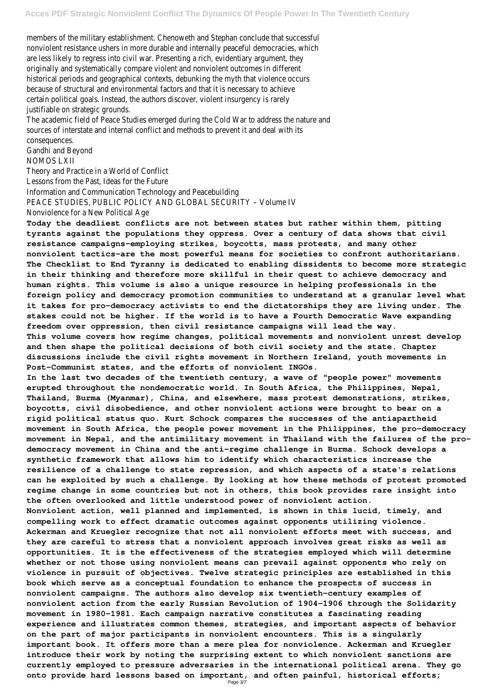members of the military establishment. Chenoweth and Stephan conclude that successful nonviolent resistance ushers in more durable and internally peaceful democracies, which are less likely to regress into civil war. Presenting a rich, evidentiary argument, they originally and systematically compare violent and nonviolent outcomes in different historical periods and geographical contexts, debunking the myth that violence occurs because of structural and environmental factors and that it is necessary to achieve certain political goals. Instead, the authors discover, violent insurgency is rarely justifiable on strategic grounds.

The academic field of Peace Studies emerged during the Cold War to address the nature and sources of interstate and internal conflict and methods to prevent it and deal with its consequences.

Gandhi and Beyond

NOMOS LXII

Theory and Practice in a World of Conflict

Lessons from the Past, Ideas for the Future

Information and Communication Technology and Peacebuilding

PEACE STUDIES, PUBLIC POLICY AND GLOBAL SECURITY – Volume IV

Nonviolence for a New Political Age

**Today the deadliest conflicts are not between states but rather within them, pitting tyrants against the populations they oppress. Over a century of data shows that civil resistance campaigns-employing strikes, boycotts, mass protests, and many other nonviolent tactics-are the most powerful means for societies to confront authoritarians. The Checklist to End Tyranny is dedicated to enabling dissidents to become more strategic in their thinking and therefore more skillful in their quest to achieve democracy and human rights. This volume is also a unique resource in helping professionals in the foreign policy and democracy promotion communities to understand at a granular level what it takes for pro-democracy activists to end the dictatorships they are living under. The stakes could not be higher. If the world is to have a Fourth Democratic Wave expanding freedom over oppression, then civil resistance campaigns will lead the way. This volume covers how regime changes, political movements and nonviolent unrest develop**

**and then shape the political decisions of both civil society and the state. Chapter discussions include the civil rights movement in Northern Ireland, youth movements in Post-Communist states, and the efforts of nonviolent INGOs.**

**In the last two decades of the twentieth century, a wave of "people power" movements erupted throughout the nondemocratic world. In South Africa, the Philippines, Nepal, Thailand, Burma (Myanmar), China, and elsewhere, mass protest demonstrations, strikes, boycotts, civil disobedience, and other nonviolent actions were brought to bear on a rigid political status quo. Kurt Schock compares the successes of the antiapartheid movement in South Africa, the people power movement in the Philippines, the pro-democracy movement in Nepal, and the antimilitary movement in Thailand with the failures of the prodemocracy movement in China and the anti-regime challenge in Burma. Schock develops a synthetic framework that allows him to identify which characteristics increase the resilience of a challenge to state repression, and which aspects of a state's relations can he exploited by such a challenge. By looking at how these methods of protest promoted regime change in some countries but not in others, this book provides rare insight into the often overlooked and little understood power of nonviolent action. Nonviolent action, well planned and implemented, is shown in this lucid, timely, and compelling work to effect dramatic outcomes against opponents utilizing violence. Ackerman and Kruegler recognize that not all nonviolent efforts meet with success, and they are careful to stress that a nonviolent approach involves great risks as well as opportunities. It is the effectiveness of the strategies employed which will determine whether or not those using nonviolent means can prevail against opponents who rely on violence in pursuit of objectives. Twelve strategic principles are established in this book which serve as a conceptual foundation to enhance the prospects of success in nonviolent campaigns. The authors also develop six twentieth-century examples of nonviolent action from the early Russian Revolution of 1904-1906 through the Solidarity movement in 1980-1981. Each campaign narrative constitutes a fascinating reading experience and illustrates common themes, strategies, and important aspects of behavior on the part of major participants in nonviolent encounters. This is a singularly important book. It offers more than a mere plea for nonviolence. Ackerman and Kruegler introduce their work by noting the surprising extent to which nonviolent sanctions are currently employed to pressure adversaries in the international political arena. They go onto provide hard lessons based on important, and often painful, historical efforts;** Page 3/7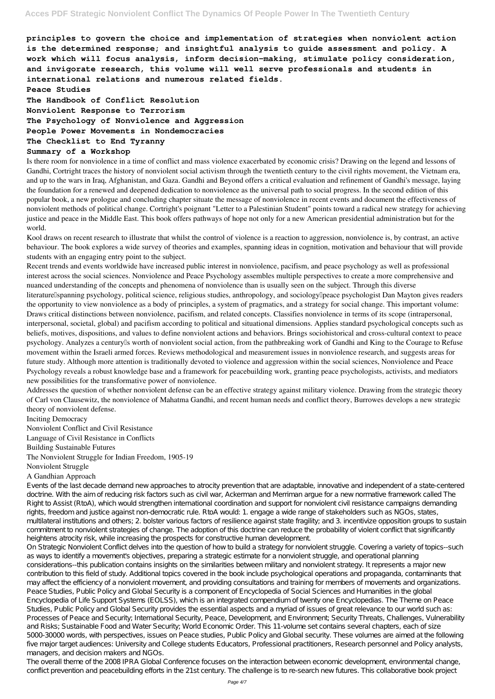**principles to govern the choice and implementation of strategies when nonviolent action is the determined response; and insightful analysis to guide assessment and policy. A work which will focus analysis, inform decision-making, stimulate policy consideration, and invigorate research, this volume will well serve professionals and students in international relations and numerous related fields.**

#### **Peace Studies**

**The Handbook of Conflict Resolution Nonviolent Response to Terrorism The Psychology of Nonviolence and Aggression People Power Movements in Nondemocracies The Checklist to End Tyranny**

### **Summary of a Workshop**

Is there room for nonviolence in a time of conflict and mass violence exacerbated by economic crisis? Drawing on the legend and lessons of Gandhi, Cortright traces the history of nonviolent social activism through the twentieth century to the civil rights movement, the Vietnam era, and up to the wars in Iraq, Afghanistan, and Gaza. Gandhi and Beyond offers a critical evaluation and refinement of Gandhi's message, laying the foundation for a renewed and deepened dedication to nonviolence as the universal path to social progress. In the second edition of this popular book, a new prologue and concluding chapter situate the message of nonviolence in recent events and document the effectiveness of nonviolent methods of political change. Cortright's poignant "Letter to a Palestinian Student" points toward a radical new strategy for achieving justice and peace in the Middle East. This book offers pathways of hope not only for a new American presidential administration but for the world.

Kool draws on recent research to illustrate that whilst the control of violence is a reaction to aggression, nonviolence is, by contrast, an active behaviour. The book explores a wide survey of theories and examples, spanning ideas in cognition, motivation and behaviour that will provide students with an engaging entry point to the subject.

Recent trends and events worldwide have increased public interest in nonviolence, pacifism, and peace psychology as well as professional interest across the social sciences. Nonviolence and Peace Psychology assembles multiple perspectives to create a more comprehensive and nuanced understanding of the concepts and phenomena of nonviolence than is usually seen on the subject. Through this diverse literature Ispanning psychology, political science, religious studies, anthropology, and sociology I peace psychologist Dan Mayton gives readers the opportunity to view nonviolence as a body of principles, a system of pragmatics, and a strategy for social change. This important volume: Draws critical distinctions between nonviolence, pacifism, and related concepts. Classifies nonviolence in terms of its scope (intrapersonal, interpersonal, societal, global) and pacifism according to political and situational dimensions. Applies standard psychological concepts such as beliefs, motives, dispositions, and values to define nonviolent actions and behaviors. Brings sociohistorical and cross-cultural context to peace psychology. Analyzes a century<sup>[]</sup>s worth of nonviolent social action, from the pathbreaking work of Gandhi and King to the Courage to Refuse movement within the Israeli armed forces. Reviews methodological and measurement issues in nonviolence research, and suggests areas for future study. Although more attention is traditionally devoted to violence and aggression within the social sciences, Nonviolence and Peace Psychology reveals a robust knowledge base and a framework for peacebuilding work, granting peace psychologists, activists, and mediators new possibilities for the transformative power of nonviolence.

Addresses the question of whether nonviolent defense can be an effective strategy against military violence. Drawing from the strategic theory of Carl von Clausewitz, the nonviolence of Mahatma Gandhi, and recent human needs and conflict theory, Burrowes develops a new strategic theory of nonviolent defense.

### Inciting Democracy

Nonviolent Conflict and Civil Resistance Language of Civil Resistance in Conflicts Building Sustainable Futures The Nonviolent Struggle for Indian Freedom, 1905-19 Nonviolent Struggle

### A Gandhian Approach

Events of the last decade demand new approaches to atrocity prevention that are adaptable, innovative and independent of a state-centered doctrine. With the aim of reducing risk factors such as civil war, Ackerman and Merriman argue for a new normative framework called The Right to Assist (RtoA), which would strengthen international coordination and support for nonviolent civil resistance campaigns demanding rights, freedom and justice against non-democratic rule. RtoA would: 1. engage a wide range of stakeholders such as NGOs, states, multilateral institutions and others; 2. bolster various factors of resilience against state fragility; and 3. incentivize opposition groups to sustain commitment to nonviolent strategies of change. The adoption of this doctrine can reduce the probability of violent conflict that significantly heightens atrocity risk, while increasing the prospects for constructive human development. On Strategic Nonviolent Conflict delves into the question of how to build a strategy for nonviolent struggle. Covering a variety of topics--such as ways to identify a movement's objectives, preparing a strategic estimate for a nonviolent struggle, and operational planning considerations--this publication contains insights on the similarities between military and nonviolent strategy. It represents a major new contribution to this field of study. Additional topics covered in the book include psychological operations and propaganda, contaminants that may affect the efficiency of a nonviolent movement, and providing consultations and training for members of movements and organizations. Peace Studies, Public Policy and Global Security is a component of Encyclopedia of Social Sciences and Humanities in the global Encyclopedia of Life Support Systems (EOLSS), which is an integrated compendium of twenty one Encyclopedias. The Theme on Peace Studies, Public Policy and Global Security provides the essential aspects and a myriad of issues of great relevance to our world such as: Processes of Peace and Security; International Security, Peace, Development, and Environment; Security Threats, Challenges, Vulnerability and Risks; Sustainable Food and Water Security; World Economic Order. This 11-volume set contains several chapters, each of size 5000-30000 words, with perspectives, issues on Peace studies, Public Policy and Global security. These volumes are aimed at the following five major target audiences: University and College students Educators, Professional practitioners, Research personnel and Policy analysts, managers, and decision makers and NGOs. The overall theme of the 2008 IPRA Global Conference focuses on the interaction between economic development, environmental change, conflict prevention and peacebuilding efforts in the 21st century. The challenge is to re-search new futures. This collaborative book project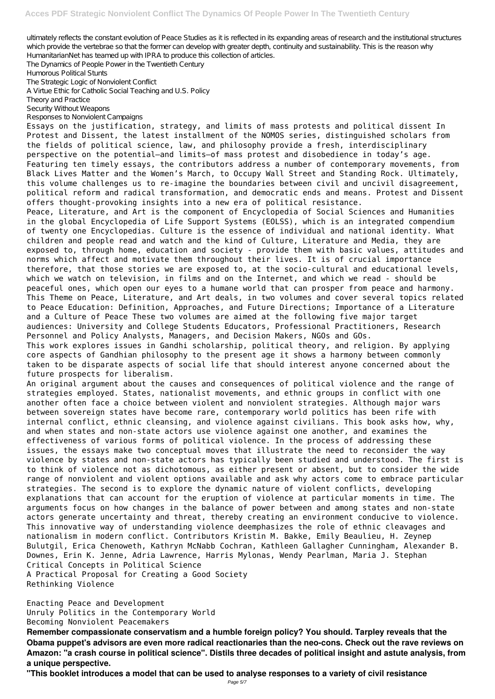ultimately reflects the constant evolution of Peace Studies as it is reflected in its expanding areas of research and the institutional structures which provide the vertebrae so that the former can develop with greater depth, continuity and sustainability. This is the reason why HumanitarianNet has teamed up with IPRA to produce this collection of articles.

The Dynamics of People Power in the Twentieth Century

Humorous Political Stunts

The Strategic Logic of Nonviolent Conflict

A Virtue E thic for Catholic Social Teaching and U.S. Policy

Theory and Practice

Security Without Weapons

Responses to Nonviolent Campaigns

Essays on the justification, strategy, and limits of mass protests and political dissent In Protest and Dissent, the latest installment of the NOMOS series, distinguished scholars from the fields of political science, law, and philosophy provide a fresh, interdisciplinary perspective on the potential—and limits—of mass protest and disobedience in today's age. Featuring ten timely essays, the contributors address a number of contemporary movements, from Black Lives Matter and the Women's March, to Occupy Wall Street and Standing Rock. Ultimately, this volume challenges us to re-imagine the boundaries between civil and uncivil disagreement, political reform and radical transformation, and democratic ends and means. Protest and Dissent offers thought-provoking insights into a new era of political resistance.

Peace, Literature, and Art is the component of Encyclopedia of Social Sciences and Humanities in the global Encyclopedia of Life Support Systems (EOLSS), which is an integrated compendium of twenty one Encyclopedias. Culture is the essence of individual and national identity. What children and people read and watch and the kind of Culture, Literature and Media, they are exposed to, through home, education and society - provide them with basic values, attitudes and norms which affect and motivate them throughout their lives. It is of crucial importance therefore, that those stories we are exposed to, at the socio-cultural and educational levels, which we watch on television, in films and on the Internet, and which we read - should be peaceful ones, which open our eyes to a humane world that can prosper from peace and harmony. This Theme on Peace, Literature, and Art deals, in two volumes and cover several topics related to Peace Education: Definition, Approaches, and Future Directions; Importance of a Literature and a Culture of Peace These two volumes are aimed at the following five major target audiences: University and College Students Educators, Professional Practitioners, Research Personnel and Policy Analysts, Managers, and Decision Makers, NGOs and GOs.

This work explores issues in Gandhi scholarship, political theory, and religion. By applying core aspects of Gandhian philosophy to the present age it shows a harmony between commonly taken to be disparate aspects of social life that should interest anyone concerned about the future prospects for liberalism.

An original argument about the causes and consequences of political violence and the range of strategies employed. States, nationalist movements, and ethnic groups in conflict with one another often face a choice between violent and nonviolent strategies. Although major wars between sovereign states have become rare, contemporary world politics has been rife with internal conflict, ethnic cleansing, and violence against civilians. This book asks how, why, and when states and non-state actors use violence against one another, and examines the effectiveness of various forms of political violence. In the process of addressing these issues, the essays make two conceptual moves that illustrate the need to reconsider the way violence by states and non-state actors has typically been studied and understood. The first is to think of violence not as dichotomous, as either present or absent, but to consider the wide range of nonviolent and violent options available and ask why actors come to embrace particular strategies. The second is to explore the dynamic nature of violent conflicts, developing explanations that can account for the eruption of violence at particular moments in time. The arguments focus on how changes in the balance of power between and among states and non-state actors generate uncertainty and threat, thereby creating an environment conducive to violence. This innovative way of understanding violence deemphasizes the role of ethnic cleavages and nationalism in modern conflict. Contributors Kristin M. Bakke, Emily Beaulieu, H. Zeynep Bulutgil, Erica Chenoweth, Kathryn McNabb Cochran, Kathleen Gallagher Cunningham, Alexander B. Downes, Erin K. Jenne, Adria Lawrence, Harris Mylonas, Wendy Pearlman, Maria J. Stephan Critical Concepts in Political Science A Practical Proposal for Creating a Good Society Rethinking Violence

Enacting Peace and Development Unruly Politics in the Contemporary World Becoming Nonviolent Peacemakers

**Remember compassionate conservatism and a humble foreign policy? You should. Tarpley reveals that the Obama puppet's advisors are even more radical reactionaries than the neo-cons. Check out the rave reviews on Amazon: "a crash course in political science". Distils three decades of political insight and astute analysis, from a unique perspective.**

**"This booklet introduces a model that can be used to analyse responses to a variety of civil resistance**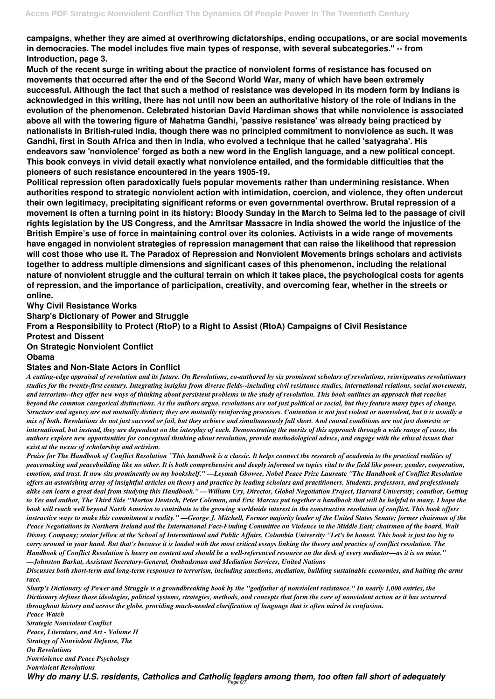**campaigns, whether they are aimed at overthrowing dictatorships, ending occupations, or are social movements in democracies. The model includes five main types of response, with several subcategories." -- from Introduction, page 3.**

**Much of the recent surge in writing about the practice of nonviolent forms of resistance has focused on movements that occurred after the end of the Second World War, many of which have been extremely successful. Although the fact that such a method of resistance was developed in its modern form by Indians is acknowledged in this writing, there has not until now been an authoritative history of the role of Indians in the evolution of the phenomenon. Celebrated historian David Hardiman shows that while nonviolence is associated above all with the towering figure of Mahatma Gandhi, 'passive resistance' was already being practiced by nationalists in British-ruled India, though there was no principled commitment to nonviolence as such. It was Gandhi, first in South Africa and then in India, who evolved a technique that he called 'satyagraha'. His endeavors saw 'nonviolence' forged as both a new word in the English language, and a new political concept. This book conveys in vivid detail exactly what nonviolence entailed, and the formidable difficulties that the pioneers of such resistance encountered in the years 1905-19.**

**Political repression often paradoxically fuels popular movements rather than undermining resistance. When authorities respond to strategic nonviolent action with intimidation, coercion, and violence, they often undercut their own legitimacy, precipitating significant reforms or even governmental overthrow. Brutal repression of a movement is often a turning point in its history: Bloody Sunday in the March to Selma led to the passage of civil rights legislation by the US Congress, and the Amritsar Massacre in India showed the world the injustice of the British Empire's use of force in maintaining control over its colonies. Activists in a wide range of movements have engaged in nonviolent strategies of repression management that can raise the likelihood that repression will cost those who use it. The Paradox of Repression and Nonviolent Movements brings scholars and activists together to address multiple dimensions and significant cases of this phenomenon, including the relational nature of nonviolent struggle and the cultural terrain on which it takes place, the psychological costs for agents of repression, and the importance of participation, creativity, and overcoming fear, whether in the streets or online.**

# **Why Civil Resistance Works**

**Sharp's Dictionary of Power and Struggle**

**From a Responsibility to Protect (RtoP) to a Right to Assist (RtoA) Campaigns of Civil Resistance**

### **Protest and Dissent**

# **On Strategic Nonviolent Conflict**

### **Obama**

# **States and Non-State Actors in Conflict**

*A cutting-edge appraisal of revolution and its future. On Revolutions, co-authored by six prominent scholars of revolutions, reinvigorates revolutionary studies for the twenty-first century. Integrating insights from diverse fields--including civil resistance studies, international relations, social movements, and terrorism--they offer new ways of thinking about persistent problems in the study of revolution. This book outlines an approach that reaches beyond the common categorical distinctions. As the authors argue, revolutions are not just political or social, but they feature many types of change. Structure and agency are not mutually distinct; they are mutually reinforcing processes. Contention is not just violent or nonviolent, but it is usually a mix of both. Revolutions do not just succeed or fail, but they achieve and simultaneously fall short. And causal conditions are not just domestic or international, but instead, they are dependent on the interplay of each. Demonstrating the merits of this approach through a wide range of cases, the authors explore new opportunities for conceptual thinking about revolution, provide methodological advice, and engage with the ethical issues that exist at the nexus of scholarship and activism.*

*Praise for The Handbook of Conflict Resolution "This handbook is a classic. It helps connect the research of academia to the practical realities of peacemaking and peacebuilding like no other. It is both comprehensive and deeply informed on topics vital to the field like power, gender, cooperation, emotion, and trust. It now sits prominently on my bookshelf." —Leymah Gbowee, Nobel Peace Prize Laureate "The Handbook of Conflict Resolution offers an astonishing array of insightful articles on theory and practice by leading scholars and practitioners. Students, professors, and professionals alike can learn a great deal from studying this Handbook." —William Ury, Director, Global Negotiation Project, Harvard University; coauthor, Getting to Yes and author, The Third Side "Morton Deutsch, Peter Coleman, and Eric Marcus put together a handbook that will be helpful to many. I hope the book will reach well beyond North America to contribute to the growing worldwide interest in the constructive resolution of conflict. This book offers instructive ways to make this commitment a reality." —George J. Mitchell, Former majority leader of the United States Senate; former chairman of the Peace Negotiations in Northern Ireland and the International Fact-Finding Committee on Violence in the Middle East; chairman of the board, Walt Disney Company; senior fellow at the School of International and Public Affairs, Columbia University "Let's be honest. This book is just too big to carry around in your hand. But that's because it is loaded with the most critical essays linking the theory and practice of conflict resolution. The Handbook of Conflict Resolution is heavy on content and should be a well-referenced resource on the desk of every mediator—as it is on mine." —Johnston Barkat, Assistant Secretary-General, Ombudsman and Mediation Services, United Nations Discusses both short-term and long-term responses to terrorism, including sanctions, mediation, building sustainable economies, and halting the arms*

*race.*

*Sharp's Dictionary of Power and Struggle is a groundbreaking book by the "godfather of nonviolent resistance." In nearly 1,000 entries, the Dictionary defines those ideologies, political systems, strategies, methods, and concepts that form the core of nonviolent action as it has occurred throughout history and across the globe, providing much-needed clarification of language that is often mired in confusion. Peace Watch*

*Strategic Nonviolent Conflict*

*Peace, Literature, and Art - Volume II*

*Strategy of Nonviolent Defense, The*

*On Revolutions*

*Nonviolence and Peace Psychology*

*Nonviolent Revolutions*

Why do many U.S. residents, Catholics and Catholic leaders among them, too often fall short of adequately